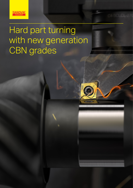

# Hard part turning with new generation CBN grades

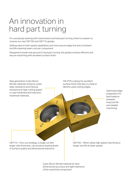## An innovation in hard part turning

For everybody working with transmission and hard part turning, there is a reason to choose our new CB7105 and CB7115 grades.

Adding value in both speed capabilities and more secure edge line and consistent tool life meaning lower cost per component.

Designed to break new ground in hard part turning, the grades achieve efficient and secure machining with excellent surface finish.



Cubic Boron Nitride material for best dimensional accuracy and tight tolerance of the machined component.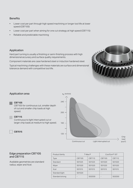#### **Benefits**

- Lower cost per part through high speed machining or longer tool life at lower speed (CB7105)
- Lower cost per part when aiming for one cut strategy at high speed (CB7115)
- Reliable and predictable machining

#### Application

Hard part turning is usually a finishing or semi-finishing process with high dimensional accuracy and surface quality requirements.

Component materials are case hardened steel or induction hardened steel.

Typical machining challenges with these materials are surface and dimensional tolerance demand with competitive tool life.



#### Application area

CB7105

CB7105 for continuous cut, smaller depth of cut and smaller chip loads at high speed.

#### CB7115

Continuous to light interrupted cut or larger chip loads at medium to high speed.

 $\overline{C}$  CB7015



Chip load  $(mm<sup>2</sup>)$ 

#### Edge preparation CB7105 and CB7115

Available geometries are standard radius, wiper and Xcel.

| Product family  | T-Max P |                              | CoroTurn <sup>®</sup> 107 |        |
|-----------------|---------|------------------------------|---------------------------|--------|
|                 |         |                              |                           |        |
| <b>Type</b>     | CB7105  | CB7115                       | CB7105                    | CB7115 |
| Standard        | S01525  | S01525                       | S01020                    | S01020 |
| Wiper           | S01520  | S01520                       | S01520                    | S01520 |
| Xcel            | S01515  | S01515                       | S01515                    | S01515 |
| Standard light  | S01020  | $\qquad \qquad \blacksquare$ |                           |        |
| Standard strong |         | S02030                       |                           | S02030 |